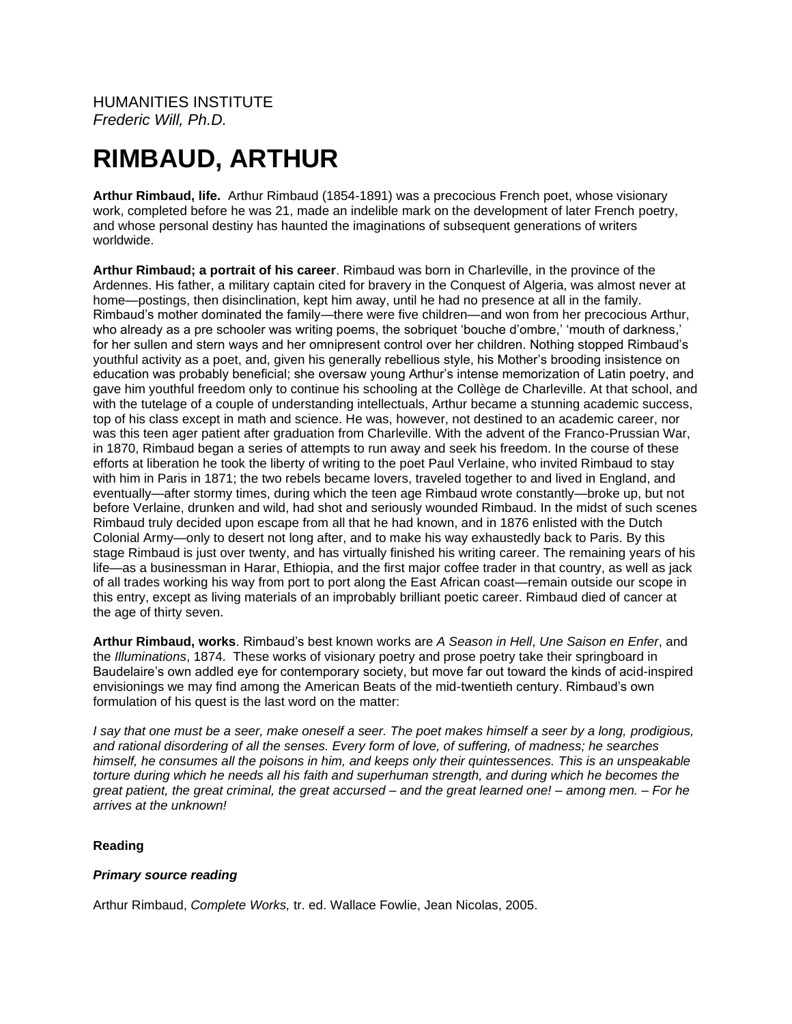HUMANITIES INSTITUTE *Frederic Will, Ph.D.*

# **RIMBAUD, ARTHUR**

**Arthur Rimbaud, life.** Arthur Rimbaud (1854-1891) was a precocious French poet, whose visionary work, completed before he was 21, made an indelible mark on the development of later French poetry, and whose personal destiny has haunted the imaginations of subsequent generations of writers worldwide.

**Arthur Rimbaud; a portrait of his career**. Rimbaud was born in Charleville, in the province of the Ardennes. His father, a military captain cited for bravery in the Conquest of Algeria, was almost never at home—postings, then disinclination, kept him away, until he had no presence at all in the family. Rimbaud's mother dominated the family—there were five children—and won from her precocious Arthur, who already as a pre schooler was writing poems, the sobriquet 'bouche d'ombre,' 'mouth of darkness,' for her sullen and stern ways and her omnipresent control over her children. Nothing stopped Rimbaud's youthful activity as a poet, and, given his generally rebellious style, his Mother's brooding insistence on education was probably beneficial; she oversaw young Arthur's intense memorization of Latin poetry, and gave him youthful freedom only to continue his schooling at the Collège de Charleville. At that school, and with the tutelage of a couple of understanding intellectuals, Arthur became a stunning academic success, top of his class except in math and science. He was, however, not destined to an academic career, nor was this teen ager patient after graduation from Charleville. With the advent of the Franco-Prussian War, in 1870, Rimbaud began a series of attempts to run away and seek his freedom. In the course of these efforts at liberation he took the liberty of writing to the poet Paul Verlaine, who invited Rimbaud to stay with him in Paris in 1871; the two rebels became lovers, traveled together to and lived in England, and eventually—after stormy times, during which the teen age Rimbaud wrote constantly—broke up, but not before Verlaine, drunken and wild, had shot and seriously wounded Rimbaud. In the midst of such scenes Rimbaud truly decided upon escape from all that he had known, and in 1876 enlisted with the Dutch Colonial Army—only to desert not long after, and to make his way exhaustedly back to Paris. By this stage Rimbaud is just over twenty, and has virtually finished his writing career. The remaining years of his life—as a businessman in Harar, Ethiopia, and the first major coffee trader in that country, as well as jack of all trades working his way from port to port along the East African coast—remain outside our scope in this entry, except as living materials of an improbably brilliant poetic career. Rimbaud died of cancer at the age of thirty seven.

**Arthur Rimbaud, works**. Rimbaud's best known works are *A Season in Hell*, *Une Saison en Enfer*, and the *Illuminations*, 1874. These works of visionary poetry and prose poetry take their springboard in Baudelaire's own addled eye for contemporary society, but move far out toward the kinds of acid-inspired envisionings we may find among the American Beats of the mid-twentieth century. Rimbaud's own formulation of his quest is the last word on the matter:

*I say that one must be a seer, make oneself a seer. The poet makes himself a seer by a long, prodigious, and rational disordering of all the senses. Every form of love, of suffering, of madness; he searches himself, he consumes all the poisons in him, and keeps only their quintessences. This is an unspeakable torture during which he needs all his faith and superhuman strength, and during which he becomes the great patient, the great criminal, the great accursed – and the great learned one! – among men. – For he arrives at the unknown!*

# **Reading**

## *Primary source reading*

Arthur Rimbaud, *Complete Works,* tr. ed. Wallace Fowlie, Jean Nicolas, 2005.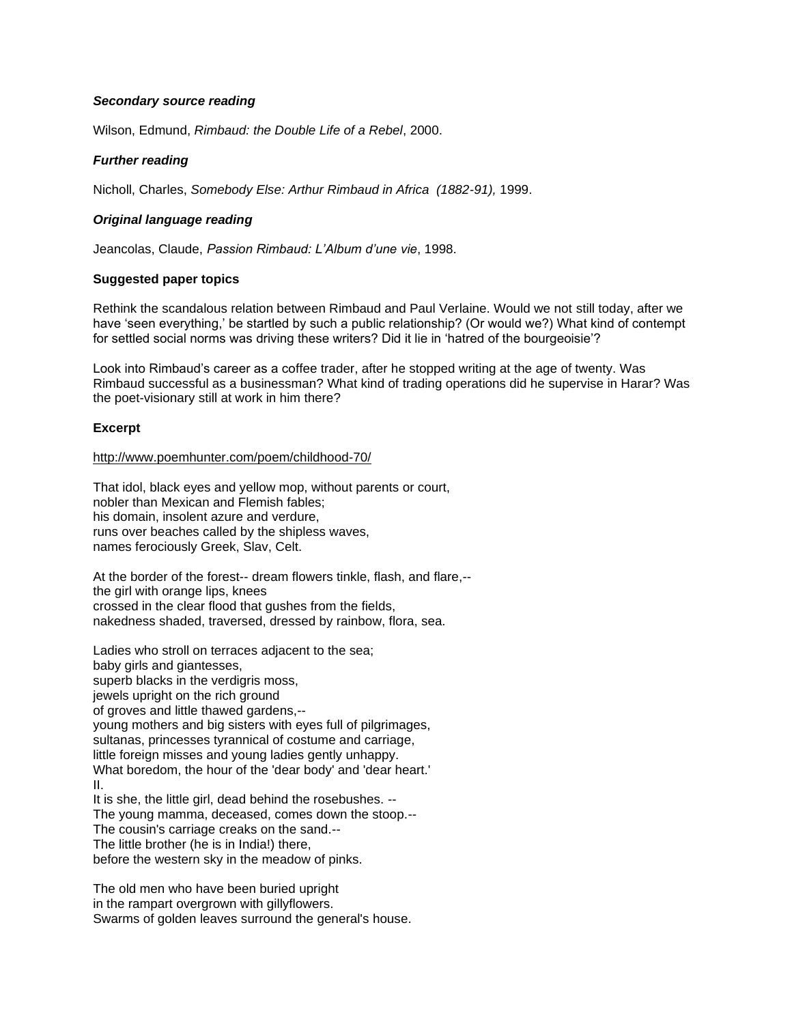## *Secondary source reading*

Wilson, Edmund, *Rimbaud: the Double Life of a Rebel*, 2000.

### *Further reading*

Nicholl, Charles, *Somebody Else: Arthur Rimbaud in Africa (1882-91),* 1999.

## *Original language reading*

Jeancolas, Claude, *Passion Rimbaud: L'Album d'une vie*, 1998.

#### **Suggested paper topics**

Rethink the scandalous relation between Rimbaud and Paul Verlaine. Would we not still today, after we have 'seen everything,' be startled by such a public relationship? (Or would we?) What kind of contempt for settled social norms was driving these writers? Did it lie in 'hatred of the bourgeoisie'?

Look into Rimbaud's career as a coffee trader, after he stopped writing at the age of twenty. Was Rimbaud successful as a businessman? What kind of trading operations did he supervise in Harar? Was the poet-visionary still at work in him there?

#### **Excerpt**

<http://www.poemhunter.com/poem/childhood-70/>

That idol, black eyes and yellow mop, without parents or court, nobler than Mexican and Flemish fables; his domain, insolent azure and verdure, runs over beaches called by the shipless waves, names ferociously Greek, Slav, Celt.

At the border of the forest-- dream flowers tinkle, flash, and flare,- the girl with orange lips, knees crossed in the clear flood that gushes from the fields, nakedness shaded, traversed, dressed by rainbow, flora, sea.

Ladies who stroll on terraces adjacent to the sea; baby girls and giantesses, superb blacks in the verdigris moss, jewels upright on the rich ground of groves and little thawed gardens,- young mothers and big sisters with eyes full of pilgrimages, sultanas, princesses tyrannical of costume and carriage, little foreign misses and young ladies gently unhappy. What boredom, the hour of the 'dear body' and 'dear heart.' II. It is she, the little girl, dead behind the rosebushes. -- The young mamma, deceased, comes down the stoop.-- The cousin's carriage creaks on the sand.-- The little brother (he is in India!) there,

before the western sky in the meadow of pinks.

The old men who have been buried upright in the rampart overgrown with gillyflowers. Swarms of golden leaves surround the general's house.